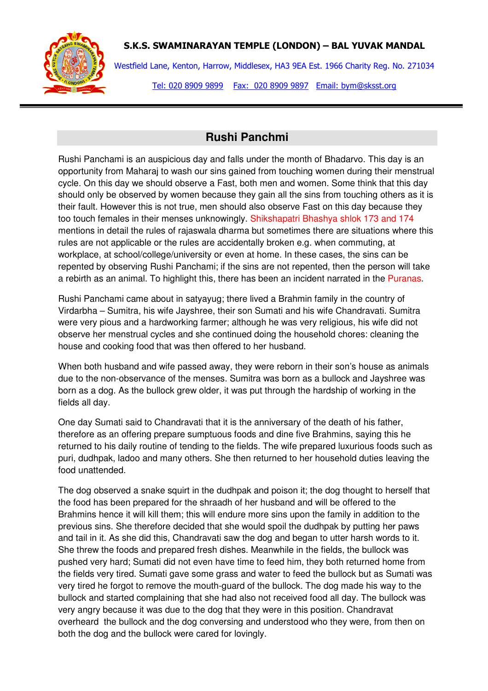

## S.K.S. SWAMINARAYAN TEMPLE (LONDON) – BAL YUVAK MANDAL

Westfield Lane, Kenton, Harrow, Middlesex, HA3 9EA Est. 1966 Charity Reg. No. 271034 Tel: 020 8909 9899 Fax: 020 8909 9897 Email: bym@sksst.org

## **Rushi Panchmi**

Rushi Panchami is an auspicious day and falls under the month of Bhadarvo. This day is an opportunity from Maharaj to wash our sins gained from touching women during their menstrual cycle. On this day we should observe a Fast, both men and women. Some think that this day should only be observed by women because they gain all the sins from touching others as it is their fault. However this is not true, men should also observe Fast on this day because they too touch females in their menses unknowingly. Shikshapatri Bhashya shlok 173 and 174 mentions in detail the rules of rajaswala dharma but sometimes there are situations where this rules are not applicable or the rules are accidentally broken e.g. when commuting, at workplace, at school/college/university or even at home. In these cases, the sins can be repented by observing Rushi Panchami; if the sins are not repented, then the person will take a rebirth as an animal. To highlight this, there has been an incident narrated in the Puranas.

Rushi Panchami came about in satyayug; there lived a Brahmin family in the country of Virdarbha – Sumitra, his wife Jayshree, their son Sumati and his wife Chandravati. Sumitra were very pious and a hardworking farmer; although he was very religious, his wife did not observe her menstrual cycles and she continued doing the household chores: cleaning the house and cooking food that was then offered to her husband.

When both husband and wife passed away, they were reborn in their son's house as animals due to the non-observance of the menses. Sumitra was born as a bullock and Jayshree was born as a dog. As the bullock grew older, it was put through the hardship of working in the fields all day.

One day Sumati said to Chandravati that it is the anniversary of the death of his father, therefore as an offering prepare sumptuous foods and dine five Brahmins, saying this he returned to his daily routine of tending to the fields. The wife prepared luxurious foods such as puri, dudhpak, ladoo and many others. She then returned to her household duties leaving the food unattended.

The dog observed a snake squirt in the dudhpak and poison it; the dog thought to herself that the food has been prepared for the shraadh of her husband and will be offered to the Brahmins hence it will kill them; this will endure more sins upon the family in addition to the previous sins. She therefore decided that she would spoil the dudhpak by putting her paws and tail in it. As she did this, Chandravati saw the dog and began to utter harsh words to it. She threw the foods and prepared fresh dishes. Meanwhile in the fields, the bullock was pushed very hard; Sumati did not even have time to feed him, they both returned home from the fields very tired. Sumati gave some grass and water to feed the bullock but as Sumati was very tired he forgot to remove the mouth-guard of the bullock. The dog made his way to the bullock and started complaining that she had also not received food all day. The bullock was very angry because it was due to the dog that they were in this position. Chandravat overheard the bullock and the dog conversing and understood who they were, from then on both the dog and the bullock were cared for lovingly.